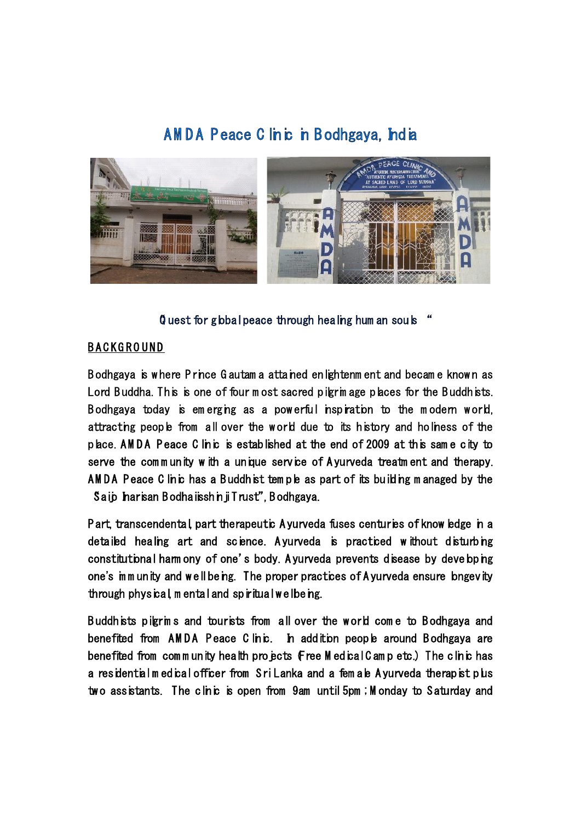## **A M D A P eace C linic in B odhgaya, India**



**"Q uest for global peace through healing hum an souls "**

## **B A C K G R O U N D**

B odhgaya is w here P rince G autam a attained enlightenm ent and becam e know n as Lord Buddha. This is one of four most sacred pilgrim age places for the Buddhists. Bodhgaya today is emerging as a powerful inspiration to the modern world, attracting people from all over the w orld due to its history and holiness of the place.**A M D A P eace C linic** is established at the end of 2009 at this sam e city to serve the community with a unique service of A yurveda treatment and therapy. AMDA Peace C linic has a Buddhist tem ple as part of its building m anaged by the Saip Inarisan B odha isshin ji Trust", B odhgaya.

P art,**transcendental**, part **therapeutic** A yurveda fuses centuries of know ledge in a detailed healing art and science. A yurveda is practiced without disturbing constitutional harm ony of one's body. A yurveda prevents disease by developing one's imm unity and well being. The proper practices of A yurveda ensure longevity through **physical, m ental and spiritual**w ellbeing.

B uddhists pilgrim s and tourists from all over the w orld com e to B odhgaya and benefited from AMDA Peace Clinic. In addition people around Bodhgaya are benefited from community health projects  $\mathbf f$ ree M edical C amp etc.) The clinic has a residential m edical officer from Sri Lanka and a fem ale A yurveda therapist plus tw o assistants. The clinic is open from 9am until 5pm ; M onday to Saturday and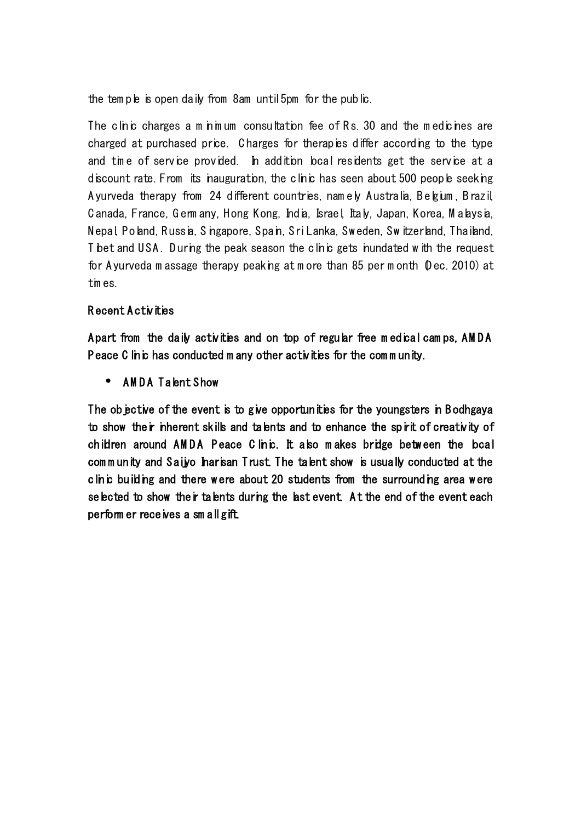the tem ple is open daily from 8am until 5pm for the public.

The clinic charges a m in mum consultation fee of Rs. 30 and the medicines are charged at purchased price. Charges for therapies differ according to the type and tim e of service provided. In addition local residents get the service at a discount rate. From its inauguration, the clinic has seen about 500 people seeking A yurveda therapy from 24 different countries, namely Australia, B elgium, B razil, Canada, France, Germ any, Hong Kong, India, Israel, Italy, Japan, Korea, Malaysia, Nepal, Poland, Russia, Singapore, Spain, Sri Lanka, Sw eden, Sw itzerland, Thailand, T bet and USA. During the peak season the clinic gets inundated w ith the request for A yurveda m assage therapy peaking at m ore than 85 per m onth (D ec. 2010) at tim es.

## **R ecent A ctivities**

A part from the daily activities and on top of regular free medical camps, AMDA Peace C linic has conducted m any other activities for the community.

**• AMDA Talent Show** 

The objective of the event is to give opportunities for the youngsters in B odhgaya to show their inherent skills and talents and to enhance the spirit of creativity of children around AMDA Peace C linic. It also makes bridge between the local com m unity and Saijyo harisan Trust. The talent show is usually conducted at the clinic building and there were about 20 students from the surrounding area were selected to show their talents during the last event. At the end of the event each perform er receives a sm all gift.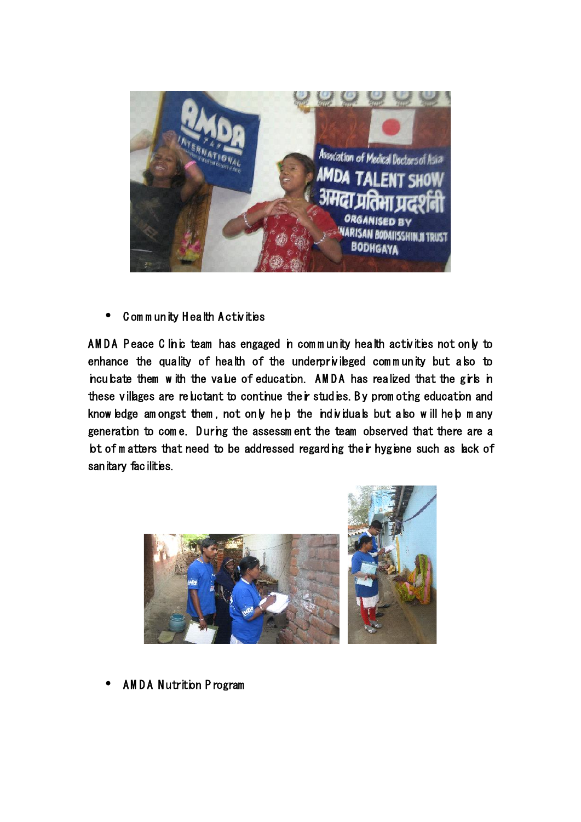

**C om m unity H ealth A ctivities**

AMDA Peace C linic team has engaged in community health activities not only to enhance the quality of health of the underprivileged community but also to inculcate them w ith the value of education. AMDA has realized that the girls in these villages are reluctant to continue their studies. By promoting education and know ledge am ongst them, not only help the individuals but also will help m any generation to come. During the assessment the team observed that there are a bt of m atters that need to be addressed regarding their hygiene such as lack of sanitary facilities.



**A M D A N utrition P rogram**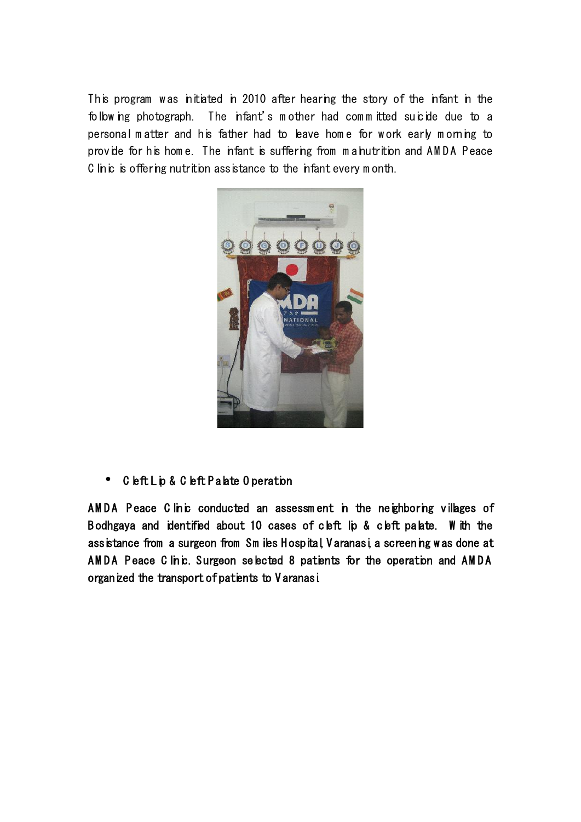This program was initiated in 2010 after hearing the story of the infant in the follow ing photograph. The infant's mother had committed suicide due to a personal m atter and his father had to leave hom e for w ork early m orning to provide for his home. The infant is suffering from mahutrition and AMDA Peace C linic is offering nutrition assistance to the infant every month.



**C left Lip & C left P alate O peration**

AMDA Peace C linic conducted an assessment in the neighboring villages of Bodhgaya and identified about 10 cases of cleft lip & cleft palate. W ith the assistance from a surgeon from Sm iles Hospital, V aranasi, a screening w as done at AMDA Peace C linic. Surgeon selected 8 patients for the operation and AMDA organized the transport of patients to V aranasi.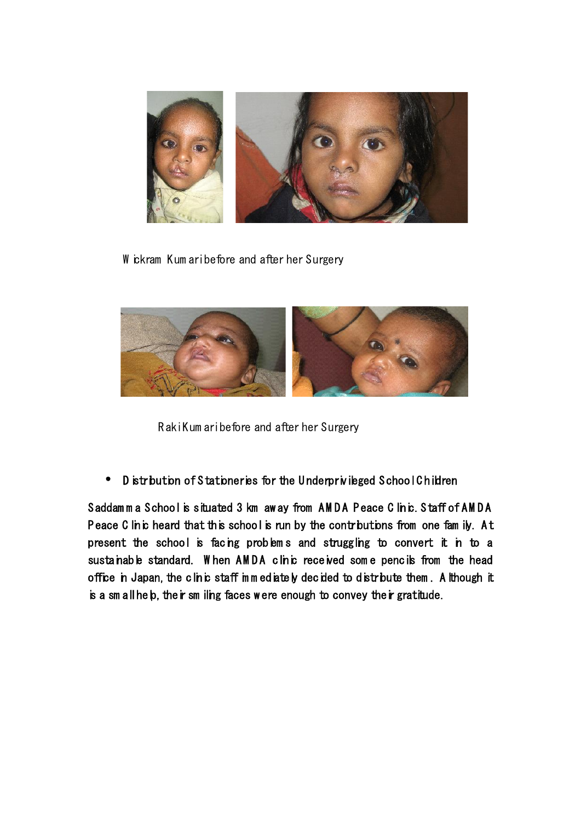

W ickram Kum ari before and after her Surgery



R aki Kum ari before and after her Surgery

**D istribution of S tationeries for the U nderprivileged S chool C hildren**

Saddam m a School is situated 3 km aw ay from AMDA Peace C linic. Staff of AMDA Peace C linic heard that this school is run by the contributions from one fam ily. At present the school is facing problems and struggling to convert it in to a sustainable standard. When AMDA clinic received some pencils from the head office in Japan, the clinic staff immediately decided to distribute them. A lthough it is a sm all help, their sm iling faces were enough to convey their gratitude.